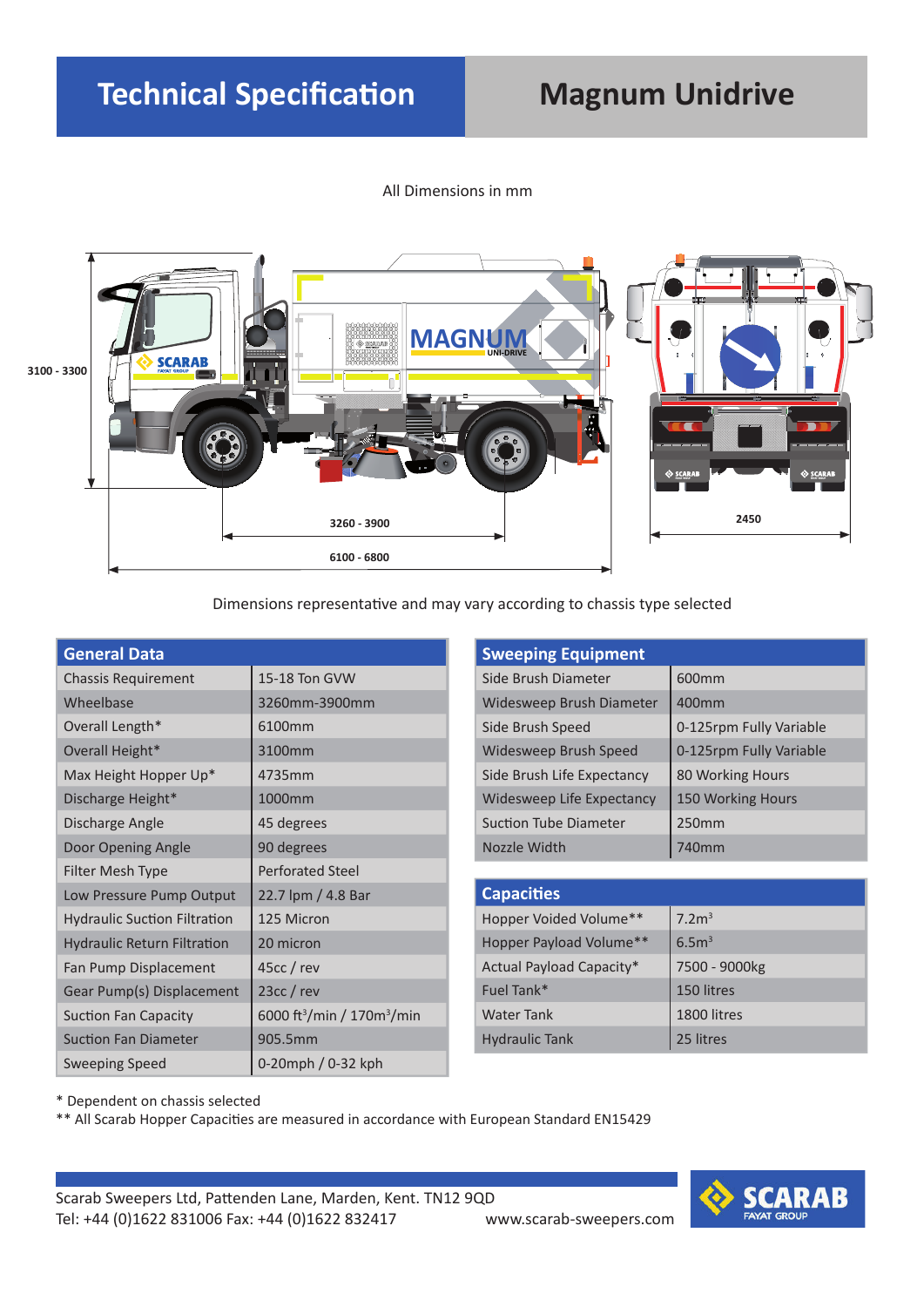#### All Dimensions in mm



Dimensions representative and may vary according to chassis type selected

| <b>General Data</b>                 |                                                    | <b>Sweeping Equipment</b>    |                         |
|-------------------------------------|----------------------------------------------------|------------------------------|-------------------------|
| <b>Chassis Requirement</b>          | 15-18 Ton GVW                                      | Side Brush Diameter          | 600 <sub>mm</sub>       |
| Wheelbase                           | 3260mm-3900mm                                      | Widesweep Brush Diameter     | 400mm                   |
| Overall Length*                     | 6100mm                                             | Side Brush Speed             | 0-125rpm Fully Variable |
| Overall Height*                     | 3100mm                                             | Widesweep Brush Speed        | 0-125rpm Fully Variable |
| Max Height Hopper Up*               | 4735mm                                             | Side Brush Life Expectancy   | 80 Working Hours        |
| Discharge Height*                   | 1000mm                                             | Widesweep Life Expectancy    | 150 Working Hours       |
| Discharge Angle                     | 45 degrees                                         | <b>Suction Tube Diameter</b> | 250mm                   |
| Door Opening Angle                  | 90 degrees                                         | Nozzle Width                 | 740mm                   |
| Filter Mesh Type                    | <b>Perforated Steel</b>                            |                              |                         |
| Low Pressure Pump Output            | 22.7 lpm / 4.8 Bar                                 | <b>Capacities</b>            |                         |
| <b>Hydraulic Suction Filtration</b> | 125 Micron                                         | Hopper Voided Volume**       | 7.2 <sup>3</sup>        |
| <b>Hydraulic Return Filtration</b>  | 20 micron                                          | Hopper Payload Volume**      | 6.5 <sup>3</sup>        |
| Fan Pump Displacement               | $45cc$ / rev                                       | Actual Payload Capacity*     | 7500 - 9000kg           |
| Gear Pump(s) Displacement           | $23cc$ / rev                                       | Fuel Tank*                   | 150 litres              |
| Suction Fan Capacity                | 6000 ft <sup>3</sup> /min / 170m <sup>3</sup> /min | <b>Water Tank</b>            | 1800 litres             |
| <b>Suction Fan Diameter</b>         | 905.5mm                                            | <b>Hydraulic Tank</b>        | 25 litres               |
| <b>Sweeping Speed</b>               | 0-20mph / 0-32 kph                                 |                              |                         |

\* Dependent on chassis selected

\*\* All Scarab Hopper Capacities are measured in accordance with European Standard EN15429

Scarab Sweepers Ltd, Pattenden Lane, Marden, Kent. TN12 9QD Tel: +44 (0)1622 831006 Fax: +44 (0)1622 832417 www.scarab-sweepers.com